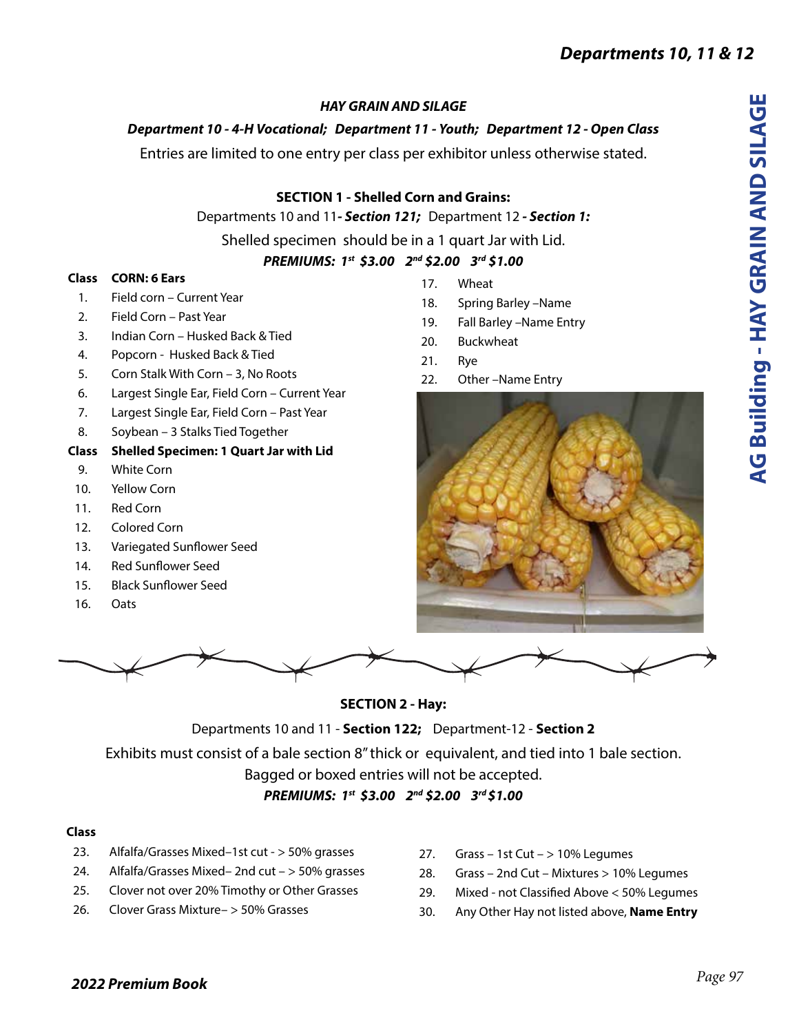# *HAY GRAIN AND SILAGE*

# *Department 10 - 4-H Vocational; Department 11 - Youth; Department 12 - Open Class*

Entries are limited to one entry per class per exhibitor unless otherwise stated.

## **SECTION 1 - Shelled Corn and Grains:**

Departments 10 and 11*- Section 121;* Department 12 *- Section 1:*

Shelled specimen should be in a 1 quart Jar with Lid.

# *PREMIUMS: 1st \$3.00 2nd \$2.00 3rd \$1.00*

### **Class CORN: 6 Ears**

- 1. Field corn Current Year
- 2. Field Corn Past Year
- 3. Indian Corn Husked Back & Tied
- 4. Popcorn Husked Back & Tied
- 5. Corn Stalk With Corn 3, No Roots
- 6. Largest Single Ear, Field Corn Current Year
- 7. Largest Single Ear, Field Corn Past Year
- 8. Soybean 3 Stalks Tied Together

## **Class Shelled Specimen: 1 Quart Jar with Lid**

- 9. White Corn
- 10. Yellow Corn
- 11. Red Corn
- 12. Colored Corn
- 13. Variegated Sunflower Seed
- 14. Red Sunflower Seed
- 15. Black Sunflower Seed
- 16. Oats



- 18. Spring Barley –Name
- 19. Fall Barley –Name Entry
- 20. Buckwheat
- 21. Rye
- 22. Other –Name Entry



### **SECTION 2 - Hay:**

Departments 10 and 11 - **Section 122;** Department-12 - **Section 2**

Exhibits must consist of a bale section 8" thick or equivalent, and tied into 1 bale section.

Bagged or boxed entries will not be accepted.

*PREMIUMS: 1st \$3.00 2nd \$2.00 3rd \$1.00*

### **Class**

- 23. Alfalfa/Grasses Mixed–1st cut > 50% grasses
- 24. Alfalfa/Grasses Mixed– 2nd cut > 50% grasses
- 25. Clover not over 20% Timothy or Other Grasses
- 26. Clover Grass Mixture– > 50% Grasses
- 27. Grass 1st Cut > 10% Legumes
- 28. Grass 2nd Cut Mixtures > 10% Legumes
- 29. Mixed not Classified Above < 50% Legumes
- 30. Any Other Hay not listed above, **Name Entry**